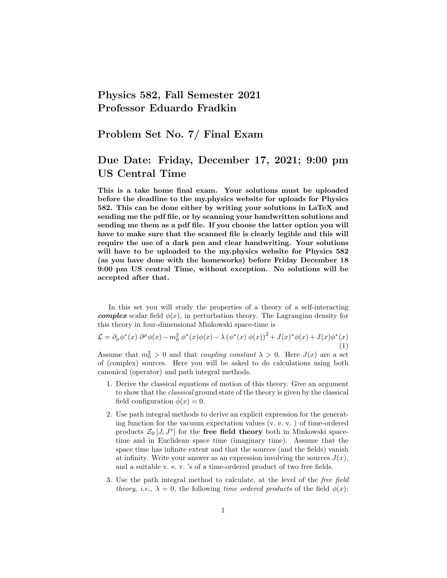## Physics 582, Fall Semester 2021 Professor Eduardo Fradkin

## Problem Set No. 7/ Final Exam

## Due Date: Friday, December 17, 2021; 9:00 pm US Central Time

This is a take home final exam. Your solutions must be uploaded before the deadline to the my.physics website for uploads for Physics 582. This can be done either by writing your solutions in LaTeX and sending me the pdf file, or by scanning your handwritten solutions and sending me them as a pdf file. If you choose the latter option you will have to make sure that the scanned file is clearly legible and this will require the use of a dark pen and clear handwriting. Your solutions will have to be uploaded to the my.physics website for Physics 582 (as you have done with the homeworks) before Friday December 18 9:00 pm US central Time, without exception. No solutions will be accepted after that.

In this set you will study the properties of a theory of a self-interacting **complex** scalar field  $\phi(x)$ , in perturbation theory. The Lagrangian density for this theory in four-dimensional Minkowski space-time is

$$
\mathcal{L} = \partial_{\mu} \phi^*(x) \partial^{\mu} \phi(x) - m_0^2 \phi^*(x) \phi(x) - \lambda (\phi^*(x) \phi(x))^2 + J(x)^* \phi(x) + J(x) \phi^*(x)
$$
\n(1)

Assume that  $m_0^2 > 0$  and that *coupling constant*  $\lambda > 0$ . Here  $J(x)$  are a set of (complex) sources. Here you will be asked to do calculations using both canonical (operator) and path integral methods.

- 1. Derive the classical equations of motion of this theory. Give an argument to show that the classical ground state of the theory is given by the classical field configuration  $\bar{\phi}(x) = 0$ .
- 2. Use path integral methods to derive an explicit expression for the generating function for the vacuum expectation values (v. e. v. ) of time-ordered products  $\mathcal{Z}_0\left[J, J^*\right]$  for the free field theory both in Minkowski spacetime and in Euclidean space time (imaginary time). Assume that the space time has infinite extent and that the sources (and the fields) vanish at infinity. Write your answer as an expression involving the sources  $J(x)$ , and a suitable v. e. v. 's of a time-ordered product of two free fields.
- 3. Use the path integral method to calculate, at the level of the free field theory, i.e.,  $\lambda = 0$ , the following time ordered products of the field  $\phi(x)$ :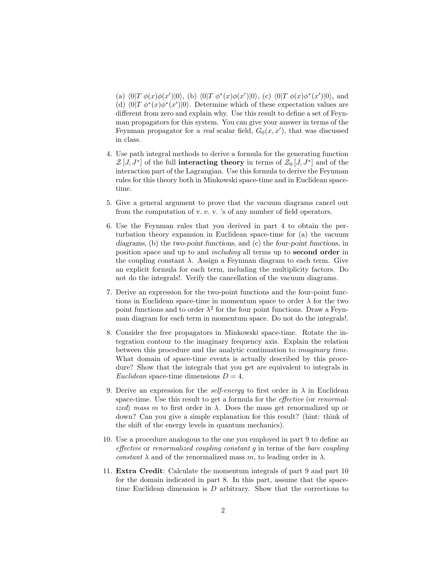(a)  $\langle 0|T \phi(x)\phi(x')|0\rangle$ , (b)  $\langle 0|T \phi^*(x)\phi(x')|0\rangle$ , (c)  $\langle 0|T \phi(x)\phi^*(x')|0\rangle$ , and (d)  $\langle 0|T \phi^*(x)\phi^*(x')|0 \rangle$ . Determine which of these expectation values are different from zero and explain why. Use this result to define a set of Feynman propagators for this system. You can give your answer in terms of the Feynman propagator for a *real* scalar field,  $G_0(x, x')$ , that was discussed in class.

- 4. Use path integral methods to derive a formula for the generating function  $\mathcal{Z}[\tilde{J},J^*]$  of the full interacting theory in terms of  $\mathcal{Z}_0[J,J^*]$  and of the interaction part of the Lagrangian. Use this formula to derive the Feynman rules for this theory both in Minkowski space-time and in Euclidean spacetime.
- 5. Give a general argument to prove that the vacuum diagrams cancel out from the computation of v. e. v. 's of any number of field operators.
- 6. Use the Feynman rules that you derived in part 4 to obtain the perturbation theory expansion in Euclidean space-time for (a) the vacuum diagrams, (b) the two-point functions, and (c) the four-point functions, in position space and up to and including all terms up to second order in the coupling constant  $\lambda$ . Assign a Feynman diagram to each term. Give an explicit formula for each term, including the multiplicity factors. Do not do the integrals!. Verify the cancellation of the vacuum diagrams.
- 7. Derive an expression for the two-point functions and the four-point functions in Euclidean space-time in momentum space to order  $\lambda$  for the two point functions and to order  $\lambda^2$  for the four point functions. Draw a Feynman diagram for each term in momentum space. Do not do the integrals!.
- 8. Consider the free propagators in Minkowski space-time. Rotate the integration contour to the imaginary frequency axis. Explain the relation between this procedure and the analytic continuation to imaginary time. What domain of space-time events is actually described by this procedure? Show that the integrals that you get are equivalent to integrals in Euclidean space-time dimensions  $D = 4$ .
- 9. Derive an expression for the *self-energy* to first order in  $\lambda$  in Euclidean space-time. Use this result to get a formula for the *effective* (or *renormal*ized) mass m to first order in  $\lambda$ . Does the mass get renormalized up or down? Can you give a simple explanation for this result? (hint: think of the shift of the energy levels in quantum mechanics).
- 10. Use a procedure analogous to the one you employed in part 9 to define an effective or renormalized coupling constant g in terms of the bare coupling constant  $\lambda$  and of the renormalized mass m, to leading order in  $\lambda$ .
- 11. Extra Credit: Calculate the momentum integrals of part 9 and part 10 for the domain indicated in part 8. In this part, assume that the spacetime Euclidean dimension is  $D$  arbitrary. Show that the corrections to